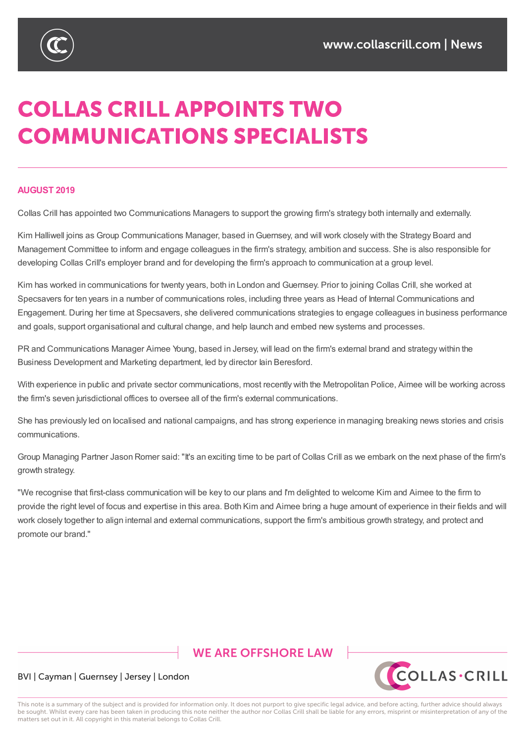

# **COLLAS CRILL APPOINTS TWO COMMUNICATIONS SPECIALISTS**

#### **AUGUST 2019**

Collas Crill has appointed two Communications Managers to support the growing firm's strategy both internally and externally.

Kim Halliwell joins as Group Communications Manager, based in Guernsey, and will work closely with the Strategy Board and Management Committee to inform and engage colleagues in the firm's strategy, ambition and success. She is also responsible for developing Collas Crill's employer brand and for developing the firm's approach to communication at a group level.

Kim has worked in communications for twenty years, both in London and Guernsey. Prior to joining Collas Crill, she worked at Specsavers for ten years in a number of communications roles, including three years as Head of Internal Communications and Engagement. During her time at Specsavers, she delivered communications strategies to engage colleagues in business performance and goals, support organisational and cultural change, and help launch and embed new systems and processes.

PR and Communications Manager Aimee Young, based in Jersey, will lead on the firm's external brand and strategy within the Business Development and Marketing department, led by director Iain Beresford.

With experience in public and private sector communications, most recently with the Metropolitan Police, Aimee will be working across the firm's seven jurisdictional offices to oversee all of the firm's external communications.

She has previously led on localised and national campaigns, and has strong experience in managing breaking news stories and crisis communications.

Group Managing Partner Jason Romer said: "It's an exciting time to be part of Collas Crill as we embark on the next phase of the firm's growth strategy.

"We recognise that first-class communication will be key to our plans and I'm delighted to welcome Kim and Aimee to the firm to provide the right level of focus and expertise in this area. Both Kim and Aimee bring a huge amount of experience in their fields and will work closely together to align internal and external communications, support the firm's ambitious growth strategy, and protect and promote our brand."

## **WE ARE OFFSHORE I AW**



### BVI | Cayman | Guernsey | Jersey | London

This note is a summary of the subject and is provided for information only. It does not purport to give specific legal advice, and before acting, further advice should always be sought. Whilst every care has been taken in producing this note neither the author nor Collas Crill shall be liable for any errors, misprint or misinterpretation of any of the matters set out in it. All copyright in this material belongs to Collas Crill.